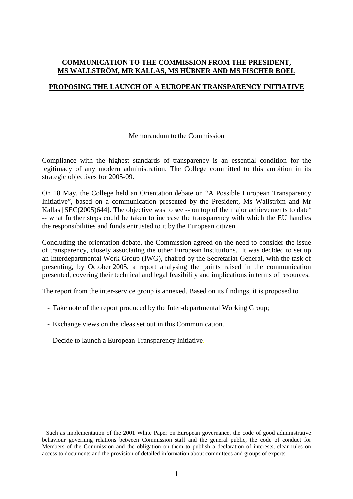## **COMMUNICATION TO THE COMMISSION FROM THE PRESIDENT, MS WALLSTRÖM, MR KALLAS, MS HÜBNER AND MS FISCHER BOEL**

# **PROPOSING THE LAUNCH OF A EUROPEAN TRANSPARENCY INITIATIVE**

### Memorandum to the Commission

Compliance with the highest standards of transparency is an essential condition for the legitimacy of any modern administration. The College committed to this ambition in its strategic objectives for 2005-09.

On 18 May, the College held an Orientation debate on "A Possible European Transparency Initiative", based on a communication presented by the President, Ms Wallström and Mr Kallas [SEC(2005)644]. The objective was to see -- on top of the major achievements to date<sup>1</sup> -- what further steps could be taken to increase the transparency with which the EU handles the responsibilities and funds entrusted to it by the European citizen.

Concluding the orientation debate, the Commission agreed on the need to consider the issue of transparency, closely associating the other European institutions. It was decided to set up an Interdepartmental Work Group (IWG), chaired by the Secretariat-General, with the task of presenting, by October 2005, a report analysing the points raised in the communication presented, covering their technical and legal feasibility and implications in terms of resources.

The report from the inter-service group is annexed. Based on its findings, it is proposed to

- Take note of the report produced by the Inter-departmental Working Group;
- Exchange views on the ideas set out in this Communication.
- Decide to launch a European Transparency Initiative.

 $\overline{a}$ <sup>1</sup> Such as implementation of the 2001 White Paper on European governance, the code of good administrative behaviour governing relations between Commission staff and the general public, the code of conduct for Members of the Commission and the obligation on them to publish a declaration of interests, clear rules on access to documents and the provision of detailed information about committees and groups of experts.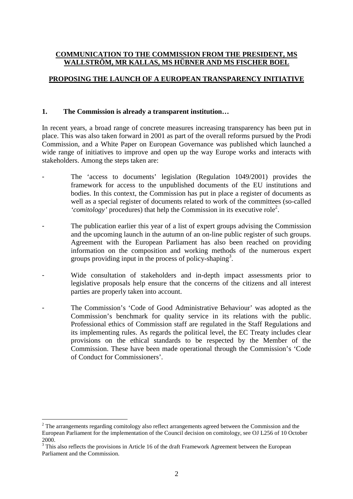## **COMMUNICATION TO THE COMMISSION FROM THE PRESIDENT, MS WALLSTRÖM, MR KALLAS, MS HÜBNER AND MS FISCHER BOEL**

# **PROPOSING THE LAUNCH OF A EUROPEAN TRANSPARENCY INITIATIVE**

### **1. The Commission is already a transparent institution…**

In recent years, a broad range of concrete measures increasing transparency has been put in place. This was also taken forward in 2001 as part of the overall reforms pursued by the Prodi Commission, and a White Paper on European Governance was published which launched a wide range of initiatives to improve and open up the way Europe works and interacts with stakeholders. Among the steps taken are:

- The 'access to documents' legislation (Regulation 1049/2001) provides the framework for access to the unpublished documents of the EU institutions and bodies. In this context, the Commission has put in place a register of documents as well as a special register of documents related to work of the committees (so-called 'comitology' procedures) that help the Commission in its executive role<sup>2</sup>.
- The publication earlier this year of a list of expert groups advising the Commission and the upcoming launch in the autumn of an on-line public register of such groups. Agreement with the European Parliament has also been reached on providing information on the composition and working methods of the numerous expert groups providing input in the process of policy-shaping<sup>3</sup>.
- Wide consultation of stakeholders and in-depth impact assessments prior to legislative proposals help ensure that the concerns of the citizens and all interest parties are properly taken into account.
- The Commission's 'Code of Good Administrative Behaviour' was adopted as the Commission's benchmark for quality service in its relations with the public. Professional ethics of Commission staff are regulated in the Staff Regulations and its implementing rules. As regards the political level, the EC Treaty includes clear provisions on the ethical standards to be respected by the Member of the Commission. These have been made operational through the Commission's 'Code of Conduct for Commissioners'.

 $\overline{a}$ 

 $2$  The arrangements regarding comitology also reflect arrangements agreed between the Commission and the European Parliament for the implementation of the Council decision on comitology, see OJ L256 of 10 October 2000.

<sup>&</sup>lt;sup>3</sup> This also reflects the provisions in Article 16 of the draft Framework Agreement between the European Parliament and the Commission.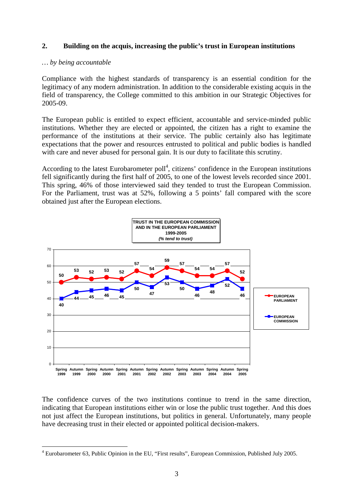# **2. Building on the acquis, increasing the public's trust in European institutions**

### *… by being accountable*

 $\overline{a}$ 

Compliance with the highest standards of transparency is an essential condition for the legitimacy of any modern administration. In addition to the considerable existing acquis in the field of transparency, the College committed to this ambition in our Strategic Objectives for 2005-09.

The European public is entitled to expect efficient, accountable and service-minded public institutions. Whether they are elected or appointed, the citizen has a right to examine the performance of the institutions at their service. The public certainly also has legitimate expectations that the power and resources entrusted to political and public bodies is handled with care and never abused for personal gain. It is our duty to facilitate this scrutiny.

According to the latest Eurobarometer poll<sup>4</sup>, citizens' confidence in the European institutions fell significantly during the first half of 2005, to one of the lowest levels recorded since 2001. This spring, 46% of those interviewed said they tended to trust the European Commission. For the Parliament, trust was at 52%, following a 5 points' fall compared with the score obtained just after the European elections.



The confidence curves of the two institutions continue to trend in the same direction, indicating that European institutions either win or lose the public trust together. And this does not just affect the European institutions, but politics in general. Unfortunately, many people have decreasing trust in their elected or appointed political decision-makers.

<sup>&</sup>lt;sup>4</sup> Eurobarometer 63, Public Opinion in the EU, "First results", European Commission, Published July 2005.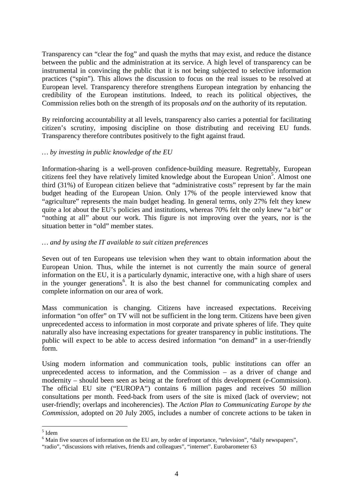Transparency can "clear the fog" and quash the myths that may exist, and reduce the distance between the public and the administration at its service. A high level of transparency can be instrumental in convincing the public that it is not being subjected to selective information practices ("spin"). This allows the discussion to focus on the real issues to be resolved at European level. Transparency therefore strengthens European integration by enhancing the credibility of the European institutions. Indeed, to reach its political objectives, the Commission relies both on the strength of its proposals *and* on the authority of its reputation.

By reinforcing accountability at all levels, transparency also carries a potential for facilitating citizen's scrutiny, imposing discipline on those distributing and receiving EU funds. Transparency therefore contributes positively to the fight against fraud.

## *… by investing in public knowledge of the EU*

Information-sharing is a well-proven confidence-building measure. Regrettably, European citizens feel they have relatively limited knowledge about the European Union<sup>5</sup>. Almost one third (31%) of European citizen believe that "administrative costs" represent by far the main budget heading of the European Union. Only 17% of the people interviewed know that "agriculture" represents the main budget heading. In general terms, only 27% felt they knew quite a lot about the EU's policies and institutions, whereas 70% felt the only knew "a bit" or "nothing at all" about our work. This figure is not improving over the years, nor is the situation better in "old" member states.

### *… and by using the IT available to suit citizen preferences*

Seven out of ten Europeans use television when they want to obtain information about the European Union. Thus, while the internet is not currently the main source of general information on the EU, it is a particularly dynamic, interactive one, with a high share of users in the younger generations<sup>6</sup>. It is also the best channel for communicating complex and complete information on our area of work.

Mass communication is changing. Citizens have increased expectations. Receiving information "on offer" on TV will not be sufficient in the long term. Citizens have been given unprecedented access to information in most corporate and private spheres of life. They quite naturally also have increasing expectations for greater transparency in public institutions. The public will expect to be able to access desired information "on demand" in a user-friendly form.

Using modern information and communication tools, public institutions can offer an unprecedented access to information, and the Commission – as a driver of change and modernity – should been seen as being at the forefront of this development (e-Commission). The official EU site ("EUROPA") contains 6 million pages and receives 50 million consultations per month. Feed-back from users of the site is mixed (lack of overview; not user-friendly; overlaps and incoherencies). The *Action Plan to Communicating Europe by the Commission*, adopted on 20 July 2005, includes a number of concrete actions to be taken in

 $<sup>5</sup>$  Idem</sup>

<sup>&</sup>lt;sup>6</sup> Main five sources of information on the EU are, by order of importance, "television", "daily newspapers",

<sup>&</sup>quot;radio", "discussions with relatives, friends and colleagues", "internet". Eurobarometer 63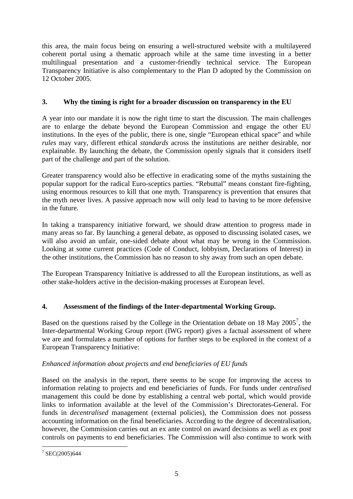this area, the main focus being on ensuring a well-structured website with a multilayered coherent portal using a thematic approach while at the same time investing in a better multilingual presentation and a customer-friendly technical service. The European Transparency Initiative is also complementary to the Plan D adopted by the Commission on 12 October 2005.

# **3. Why the timing is right for a broader discussion on transparency in the EU**

A year into our mandate it is now the right time to start the discussion. The main challenges are to enlarge the debate beyond the European Commission and engage the other EU institutions. In the eyes of the public, there is one, single "European ethical space" and while *rules* may vary, different ethical *standards* across the institutions are neither desirable, nor explainable. By launching the debate, the Commission openly signals that it considers itself part of the challenge and part of the solution.

Greater transparency would also be effective in eradicating some of the myths sustaining the popular support for the radical Euro-sceptics parties. "Rebuttal" means constant fire-fighting, using enormous resources to kill that one myth. Transparency is prevention that ensures that the myth never lives. A passive approach now will only lead to having to be more defensive in the future.

In taking a transparency initiative forward, we should draw attention to progress made in many areas so far. By launching a general debate, as opposed to discussing isolated cases, we will also avoid an unfair, one-sided debate about what may be wrong in the Commission. Looking at some current practices (Code of Conduct, lobbyism, Declarations of Interest) in the other institutions, the Commission has no reason to shy away from such an open debate.

The European Transparency Initiative is addressed to all the European institutions, as well as other stake-holders active in the decision-making processes at European level.

# **4. Assessment of the findings of the Inter-departmental Working Group.**

Based on the questions raised by the College in the Orientation debate on 18 May  $2005^7$ , the Inter-departmental Working Group report (IWG report) gives a factual assessment of where we are and formulates a number of options for further steps to be explored in the context of a European Transparency Initiative:

# *Enhanced information about projects and end beneficiaries of EU funds*

Based on the analysis in the report, there seems to be scope for improving the access to information relating to projects and end beneficiaries of funds. For funds under *centralised* management this could be done by establishing a central web portal, which would provide links to information available at the level of the Commission's Directorates-General. For funds in *decentralised* management (external policies), the Commission does not possess accounting information on the final beneficiaries. According to the degree of decentralisation, however, the Commission carries out an ex ante control on award decisions as well as ex post controls on payments to end beneficiaries. The Commission will also continue to work with

 $\frac{1}{7}$  SEC(2005)644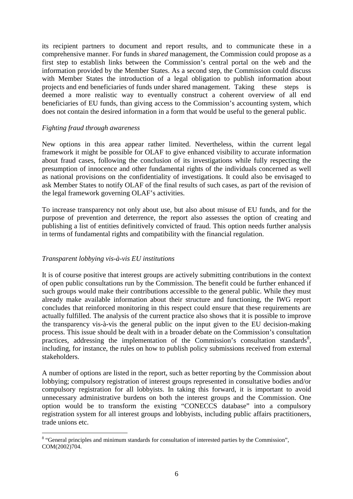its recipient partners to document and report results, and to communicate these in a comprehensive manner. For funds in *shared* management, the Commission could propose as a first step to establish links between the Commission's central portal on the web and the information provided by the Member States. As a second step, the Commission could discuss with Member States the introduction of a legal obligation to publish information about projects and end beneficiaries of funds under shared management. Taking these steps is deemed a more realistic way to eventually construct a coherent overview of all end beneficiaries of EU funds, than giving access to the Commission's accounting system, which does not contain the desired information in a form that would be useful to the general public.

### *Fighting fraud through awareness*

New options in this area appear rather limited. Nevertheless, within the current legal framework it might be possible for OLAF to give enhanced visibility to accurate information about fraud cases, following the conclusion of its investigations while fully respecting the presumption of innocence and other fundamental rights of the individuals concerned as well as national provisions on the confidentiality of investigations. It could also be envisaged to ask Member States to notify OLAF of the final results of such cases, as part of the revision of the legal framework governing OLAF's activities.

To increase transparency not only about use, but also about misuse of EU funds, and for the purpose of prevention and deterrence, the report also assesses the option of creating and publishing a list of entities definitively convicted of fraud. This option needs further analysis in terms of fundamental rights and compatibility with the financial regulation.

# *Transparent lobbying vis-à-vis EU institutions*

It is of course positive that interest groups are actively submitting contributions in the context of open public consultations run by the Commission. The benefit could be further enhanced if such groups would make their contributions accessible to the general public. While they must already make available information about their structure and functioning, the IWG report concludes that reinforced monitoring in this respect could ensure that these requirements are actually fulfilled. The analysis of the current practice also shows that it is possible to improve the transparency vis-à-vis the general public on the input given to the EU decision-making process. This issue should be dealt with in a broader debate on the Commission's consultation practices, addressing the implementation of the Commission's consultation standards<sup>8</sup>, including, for instance, the rules on how to publish policy submissions received from external stakeholders.

A number of options are listed in the report, such as better reporting by the Commission about lobbying; compulsory registration of interest groups represented in consultative bodies and/or compulsory registration for all lobbyists. In taking this forward, it is important to avoid unnecessary administrative burdens on both the interest groups and the Commission. One option would be to transform the existing "CONECCS database" into a compulsory registration system for all interest groups and lobbyists, including public affairs practitioners, trade unions etc.

<sup>&</sup>lt;sup>8</sup> "General principles and minimum standards for consultation of interested parties by the Commission", COM(2002)704.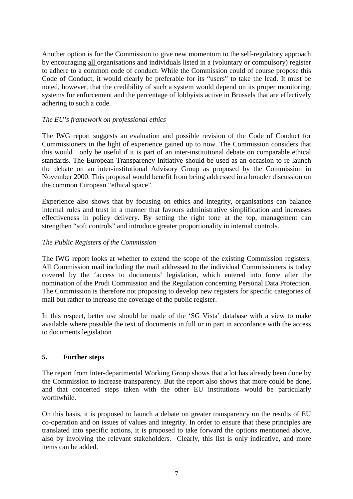Another option is for the Commission to give new momentum to the self-regulatory approach by encouraging all organisations and individuals listed in a (voluntary or compulsory) register to adhere to a common code of conduct. While the Commission could of course propose this Code of Conduct, it would clearly be preferable for its "users" to take the lead. It must be noted, however, that the credibility of such a system would depend on its proper monitoring, systems for enforcement and the percentage of lobbyists active in Brussels that are effectively adhering to such a code.

# *The EU's framework on professional ethics*

The IWG report suggests an evaluation and possible revision of the Code of Conduct for Commissioners in the light of experience gained up to now. The Commission considers that this would only be useful if it is part of an inter-institutional debate on comparable ethical standards. The European Transparency Initiative should be used as an occasion to re-launch the debate on an inter-institutional Advisory Group as proposed by the Commission in November 2000. This proposal would benefit from being addressed in a broader discussion on the common European "ethical space".

Experience also shows that by focusing on ethics and integrity, organisations can balance internal rules and trust in a manner that favours administrative simplification and increases effectiveness in policy delivery. By setting the right tone at the top, management can strengthen "soft controls" and introduce greater proportionality in internal controls.

## *The Public Registers of the Commission*

The IWG report looks at whether to extend the scope of the existing Commission registers. All Commission mail including the mail addressed to the individual Commissioners is today covered by the 'access to documents' legislation, which entered into force after the nomination of the Prodi Commission and the Regulation concerning Personal Data Protection. The Commission is therefore not proposing to develop new registers for specific categories of mail but rather to increase the coverage of the public register.

In this respect, better use should be made of the 'SG Vista' database with a view to make available where possible the text of documents in full or in part in accordance with the access to documents legislation

### **5. Further steps**

The report from Inter-departmental Working Group shows that a lot has already been done by the Commission to increase transparency. But the report also shows that more could be done, and that concerted steps taken with the other EU institutions would be particularly worthwhile.

On this basis, it is proposed to launch a debate on greater transparency on the results of EU co-operation and on issues of values and integrity. In order to ensure that these principles are translated into specific actions, it is proposed to take forward the options mentioned above, also by involving the relevant stakeholders. Clearly, this list is only indicative, and more items can be added.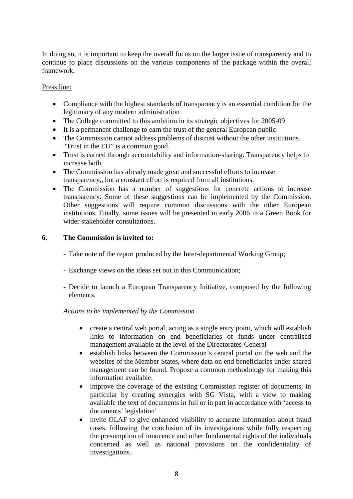In doing so, it is important to keep the overall focus on the larger issue of transparency and to continue to place discussions on the various components of the package within the overall framework.

# Press line:

- Compliance with the highest standards of transparency is an essential condition for the legitimacy of any modern administration
- The College committed to this ambition in its strategic objectives for 2005-09
- It is a permanent challenge to earn the trust of the general European public
- The Commission cannot address problems of distrust without the other institutions. "Trust in the EU" is a common good.
- Trust is earned through accountability and information-sharing. Transparency helps to increase both.
- The Commission has already made great and successful efforts to increase transparency,, but a constant effort is required from all institutions.
- The Commission has a number of suggestions for concrete actions to increase transparency: Some of these suggestions can be implemented by the Commission. Other suggestions will require common discussions with the other European institutions. Finally, some issues will be presented in early 2006 in a Green Book for wider stakeholder consultations.

## **6. The Commission is invited to:**

- Take note of the report produced by the Inter-departmental Working Group;
- Exchange views on the ideas set out in this Communication;
- Decide to launch a European Transparency Initiative, composed by the following elements:

### *Actions to be implemented by the Commission*

- create a central web portal, acting as a single entry point, which will establish links to information on end beneficiaries of funds under centralised management available at the level of the Directorates-General
- establish links between the Commission's central portal on the web and the websites of the Member States, where data on end beneficiaries under shared management can be found. Propose a common methodology for making this information available.
- improve the coverage of the existing Commission register of documents, in particular by creating synergies with SG Vista, with a view to making available the text of documents in full or in part in accordance with 'access to documents' legislation'
- invite OLAF to give enhanced visibility to accurate information about fraud cases, following the conclusion of its investigations while fully respecting the presumption of innocence and other fundamental rights of the individuals concerned as well as national provisions on the confidentiality of investigations.